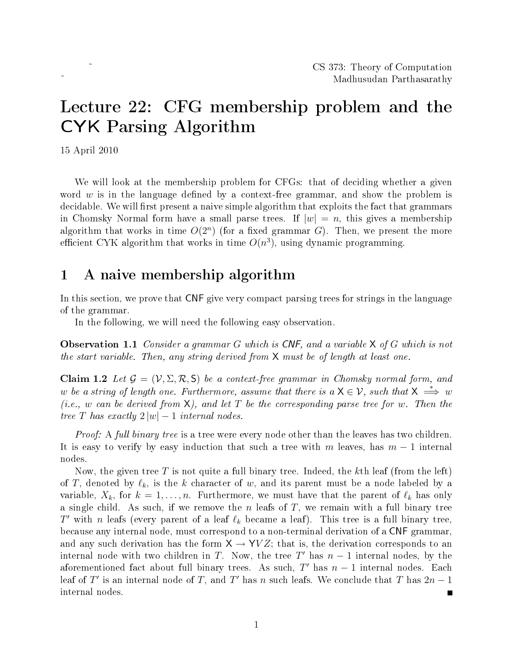# Lecture 22: CFG membership problem and the CYK Parsing Algorithm

15 April 2010

We will look at the membership problem for CFGs: that of deciding whether a given word  $w$  is in the language defined by a context-free grammar, and show the problem is decidable. We will first present a naive simple algorithm that exploits the fact that grammars in Chomsky Normal form have a small parse trees. If  $|w| = n$ , this gives a membership algorithm that works in time  $O(2^n)$  (for a fixed grammar G). Then, we present the more efficient CYK algorithm that works in time  $O(n^3)$ , using dynamic programming.

### 1 A naive membership algorithm

In this section, we prove that CNF give very compact parsing trees for strings in the language of the grammar.

In the following, we will need the following easy observation.

**Observation 1.1** Consider a grammar G which is CNF, and a variable  $X$  of G which is not the start variable. Then, any string derived from X must be of length at least one.

<span id="page-0-0"></span>Claim 1.2 Let  $\mathcal{G} = (\mathcal{V}, \Sigma, \mathcal{R}, S)$  be a context-free grammar in Chomsky normal form, and w be a string of length one. Furthermore, assume that there is a  $\mathsf{X}\in\mathcal{V}$ , such that  $\mathsf{X} \implies w$ (i.e., w can be derived from  $X$ ), and let T be the corresponding parse tree for w. Then the tree T has exactly  $2|w|-1$  internal nodes.

*Proof:* A full binary tree is a tree were every node other than the leaves has two children. It is easy to verify by easy induction that such a tree with m leaves, has  $m-1$  internal nodes.

Now, the given tree T is not quite a full binary tree. Indeed, the kth leaf (from the left) of T, denoted by  $\ell_k$ , is the k character of w, and its parent must be a node labeled by a variable,  $X_k$ , for  $k = 1, \ldots, n$ . Furthermore, we must have that the parent of  $\ell_k$  has only a single child. As such, if we remove the  $n$  leafs of  $T$ , we remain with a full binary tree T' with n leafs (every parent of a leaf  $\ell_k$  became a leaf). This tree is a full binary tree, because any internal node, must correspond to a non-terminal derivation of a CNF grammar, and any such derivation has the form  $X \rightarrow YVZ$ ; that is, the derivation corresponds to an internal node with two children in T. Now, the tree T' has  $n-1$  internal nodes, by the aforementioned fact about full binary trees. As such,  $T'$  has  $n-1$  internal nodes. Each leaf of  $T'$  is an internal node of T, and  $T'$  has n such leafs. We conclude that T has  $2n-1$ internal nodes. П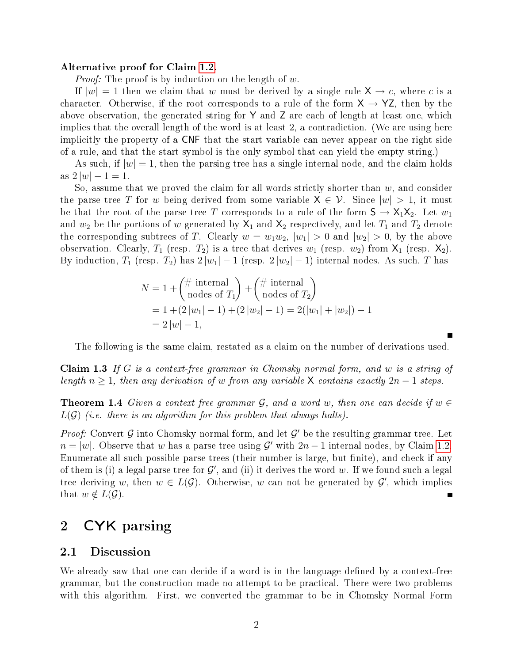#### Alternative proof for Claim [1.2.](#page-0-0)

*Proof:* The proof is by induction on the length of w.

If  $|w| = 1$  then we claim that w must be derived by a single rule  $X \rightarrow c$ , where c is a character. Otherwise, if the root corresponds to a rule of the form  $X \rightarrow YZ$ , then by the above observation, the generated string for Y and Z are each of length at least one, which implies that the overall length of the word is at least 2, a contradiction. (We are using here implicitly the property of a CNF that the start variable can never appear on the right side of a rule, and that the start symbol is the only symbol that can yield the empty string.)

As such, if  $|w|=1$ , then the parsing tree has a single internal node, and the claim holds as  $2|w|-1=1$ .

So, assume that we proved the claim for all words strictly shorter than  $w$ , and consider the parse tree T for w being derived from some variable  $X \in \mathcal{V}$ . Since  $|w| > 1$ , it must be that the root of the parse tree T corresponds to a rule of the form  $S \to X_1 X_2$ . Let  $w_1$ and  $w_2$  be the portions of w generated by  $X_1$  and  $X_2$  respectively, and let  $T_1$  and  $T_2$  denote the corresponding subtrees of T. Clearly  $w = w_1w_2$ ,  $|w_1| > 0$  and  $|w_2| > 0$ , by the above observation. Clearly,  $T_1$  (resp.  $T_2$ ) is a tree that derives  $w_1$  (resp.  $w_2$ ) from  $X_1$  (resp.  $X_2$ ). By induction,  $T_1$  (resp.  $T_2$ ) has  $2 |w_1| - 1$  (resp.  $2 |w_2| - 1$ ) internal nodes. As such, T has

$$
N = 1 + {# internal \n- 1 + (2|w1| - 1) + (# internal \n= 1 + (2|w1| - 1) + (2|w2| - 1) = 2(|w1| + |w2|) - 1 \n= 2|w| - 1,
$$

The following is the same claim, restated as a claim on the number of derivations used.

**Claim 1.3** If G is a context-free grammar in Chomsky normal form, and w is a string of length  $n \geq 1$ , then any derivation of w from any variable X contains exactly  $2n-1$  steps.

**Theorem 1.4** Given a context free grammar  $\mathcal{G}$ , and a word w, then one can decide if  $w \in \mathcal{G}$  $L(G)$  (i.e. there is an algorithm for this problem that always halts).

Proof: Convert  $G$  into Chomsky normal form, and let  $G'$  be the resulting grammar tree. Let  $n = |w|$ . Observe that w has a parse tree using G' with  $2n - 1$  internal nodes, by Claim [1.2.](#page-0-0) Enumerate all such possible parse trees (their number is large, but finite), and check if any of them is (i) a legal parse tree for  $\mathcal{G}'$ , and (ii) it derives the word w. If we found such a legal tree deriving w, then  $w \in L(\mathcal{G})$ . Otherwise, w can not be generated by  $\mathcal{G}'$ , which implies that  $w \notin L(\mathcal{G})$ .

### 2 CYK parsing

#### 2.1 Discussion

We already saw that one can decide if a word is in the language defined by a context-free grammar, but the construction made no attempt to be practical. There were two problems with this algorithm. First, we converted the grammar to be in Chomsky Normal Form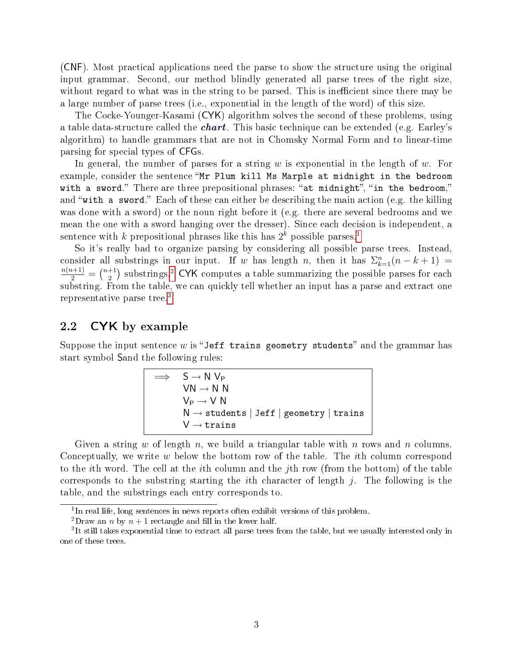(CNF). Most practical applications need the parse to show the structure using the original input grammar. Second, our method blindly generated all parse trees of the right size, without regard to what was in the string to be parsed. This is inefficient since there may be a large number of parse trees (i.e., exponential in the length of the word) of this size.

The Cocke-Younger-Kasami (CYK) algorithm solves the second of these problems, using a table data-structure called the *chart*. This basic technique can be extended (e.g. Earley's algorithm) to handle grammars that are not in Chomsky Normal Form and to linear-time parsing for special types of CFGs.

In general, the number of parses for a string  $w$  is exponential in the length of  $w$ . For example, consider the sentence "Mr Plum kill Ms Marple at midnight in the bedroom with a sword." There are three prepositional phrases: "at midnight", "in the bedroom," and "with a sword." Each of these can either be describing the main action (e.g. the killing was done with a sword) or the noun right before it (e.g. there are several bedrooms and we mean the one with a sword hanging over the dresser). Since each decision is independent, a sentence with k prepositional phrases like this has  $2^k$  possible parses.<sup>[1](#page-2-0)</sup>

So it's really bad to organize parsing by considering all possible parse trees. Instead, consider all substrings in our input. If w has length n, then it has  $\Sigma_{k=1}^n(n-k+1)$  =  $\frac{n(n+1)}{2} = \binom{n+1}{2}$  $\binom{+1}{2}$  $\binom{+1}{2}$  $\binom{+1}{2}$  substrings.<sup>2</sup> CYK computes a table summarizing the possible parses for each substring. From the table, we can quickly tell whether an input has a parse and extract one representative parse tree.[3](#page-2-2)

#### 2.2 CYK by example

Suppose the input sentence  $w$  is "Jeff trains geometry students" and the grammar has start symbol Sand the following rules:

$$
\implies S \to N \ V_P
$$
  
\n
$$
VN \to N \ N
$$
  
\n
$$
V_P \to V \ N
$$
  
\n
$$
N \to \text{students} | \text{ Jeff} | \text{ geometry} | \text{ trains}
$$
  
\n
$$
V \to \text{ trains}
$$

Given a string w of length n, we build a triangular table with n rows and n columns. Conceptually, we write w below the bottom row of the table. The *i*th column correspond to the ith word. The cell at the ith column and the jth row (from the bottom) of the table corresponds to the substring starting the *i*th character of length  $j$ . The following is the table, and the substrings each entry corresponds to.

<span id="page-2-0"></span><sup>&</sup>lt;sup>1</sup>In real life, long sentences in news reports often exhibit versions of this problem.

<span id="page-2-2"></span><span id="page-2-1"></span><sup>&</sup>lt;sup>2</sup>Draw an *n* by  $n + 1$  rectangle and fill in the lower half.

<sup>&</sup>lt;sup>3</sup>It still takes exponential time to extract all parse trees from the table, but we usually interested only in one of these trees.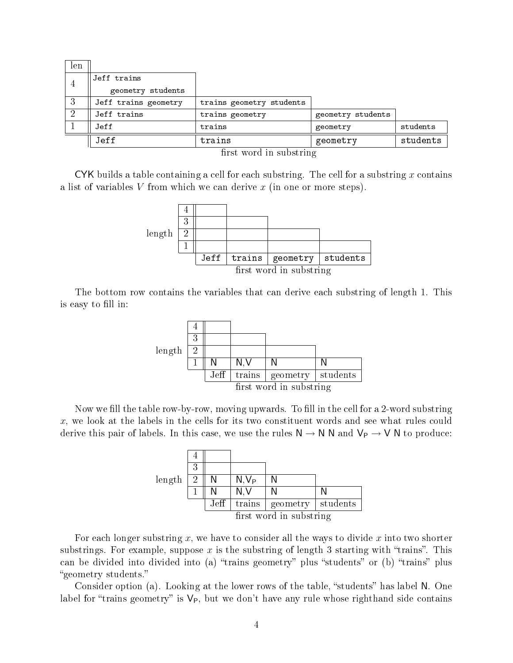| len |                      |                          |                   |          |  |  |  |  |
|-----|----------------------|--------------------------|-------------------|----------|--|--|--|--|
|     | Jeff trains          |                          |                   |          |  |  |  |  |
| 4   | geometry students    |                          |                   |          |  |  |  |  |
| 3   | Jeff trains geometry | trains geometry students |                   |          |  |  |  |  |
| - 2 | Jeff trains          | trains geometry          | geometry students |          |  |  |  |  |
|     | Jeff                 | trains                   | geometry          | students |  |  |  |  |
|     | Jeff                 | trains                   | geometry          | students |  |  |  |  |
|     | $\sim$ $\sim$ $\sim$ |                          |                   |          |  |  |  |  |

first word in substring

CYK builds a table containing a cell for each substring. The cell for a substring x contains a list of variables V from which we can derive x (in one or more steps).



The bottom row contains the variables that can derive each substring of length 1. This is easy to fill in:



Now we fill the table row-by-row, moving upwards. To fill in the cell for a 2-word substring x, we look at the labels in the cells for its two constituent words and see what rules could derive this pair of labels. In this case, we use the rules  $N \to N N$  and  $V_P \to V N$  to produce:

|        | 3 |                  |                         |                     |  |  |
|--------|---|------------------|-------------------------|---------------------|--|--|
| length | 2 | N                | N.V <sub>P</sub>        |                     |  |  |
|        |   |                  | N.V                     |                     |  |  |
|        |   | J <sub>eff</sub> | trains                  | geometry   students |  |  |
|        |   |                  | first word in substring |                     |  |  |

For each longer substring  $x$ , we have to consider all the ways to divide  $x$  into two shorter substrings. For example, suppose x is the substring of length 3 starting with "trains". This can be divided into divided into (a) "trains geometry" plus "students" or (b) "trains" plus geometry students.

Consider option (a). Looking at the lower rows of the table, "students" has label N. One label for "trains geometry" is  $V_P$ , but we don't have any rule whose righthand side contains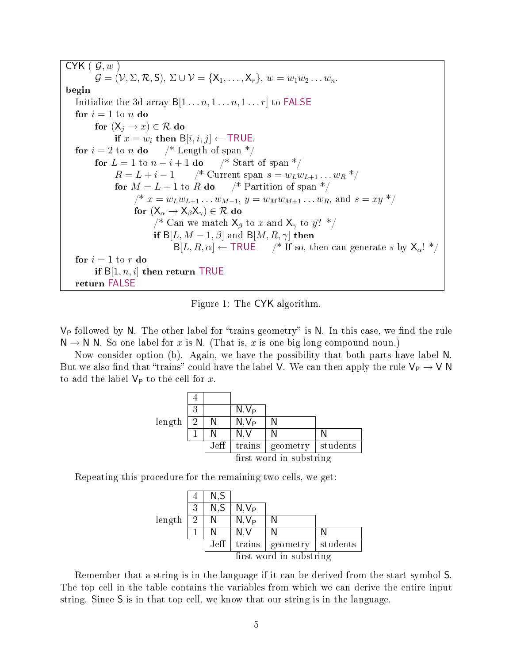CYK 
$$
(\mathcal{G}, w)
$$
  
\n $\mathcal{G} = (\mathcal{V}, \Sigma, \mathcal{R}, S), \Sigma \cup \mathcal{V} = \{X_1, ..., X_r\}, w = w_1w_2...w_n$   
\nbegin  
\nheight  
\nInitalize the 3d array B[1...n, 1...n, 1...r] to FALSE  
\nfor  $i = 1$  to n do  
\nfor  $(X_j \rightarrow x) \in \mathcal{R}$  do  
\nif  $x = w_i$  then B[*i*, *i*, *j*]  $\leftarrow$  TRUE.  
\nfor  $i = 2$  to n do  $\quad$  /\* Length of span \*/  
\nfor  $L = 1$  to  $n - i + 1$  do  $\quad$  /\* Start of span \*/  
\nfor  $L = L + i - 1$  /\* Current span  $s = w_Lw_{L+1}...w_R * /$   
\nfor  $M = L + 1$  to R do  $\quad$  /\* Partition of span \*/  
\n $\quad$  /\*  $x = w_Lw_{L+1}...w_{M-1}, y = w_Mw_{M+1}...w_R$ , and  $s = xy * /$   
\nfor  $(X_\alpha \rightarrow X_\beta X_\gamma) \in \mathcal{R}$  do  
\n/\* Can we match  $X_\beta$  to  $x$  and  $X_\gamma$  to  $y$ ? \*/  
\nif B[*L*, *M* - 1, *\beta*] and B[*M*, *R*,  $\gamma$ ] then  
\nB[*L*, *R*,  $\alpha$ ]  $\leftarrow$  TRUE  $\quad$  /\* If so, then can generate  $s$  by  $X_\alpha$ ! \*/  
\nfor  $i = 1$  to  $r$  do  
\nif B[1, n, i] then return TRUE  
\nreturn FALSE

<span id="page-4-0"></span>Figure 1: The CYK algorithm.

 $V_P$  followed by N. The other label for "trains geometry" is N. In this case, we find the rule  $N \to N$  N. So one label for x is N. (That is, x is one big long compound noun.)

Now consider option (b). Again, we have the possibility that both parts have label N. But we also find that "trains" could have the label V. We can then apply the rule  $V_P \rightarrow V N$ to add the label  $V_P$  to the cell for x.

|                         | 3 |      | N.V <sub>P</sub> |                     |  |
|-------------------------|---|------|------------------|---------------------|--|
| length                  | 9 |      | $N, V_P$         |                     |  |
|                         |   |      | N.V              |                     |  |
|                         |   | Jeff | trains           | geometry   students |  |
| first word in substring |   |      |                  |                     |  |

Repeating this procedure for the remaining two cells, we get:



Remember that a string is in the language if it can be derived from the start symbol S. The top cell in the table contains the variables from which we can derive the entire input string. Since S is in that top cell, we know that our string is in the language.